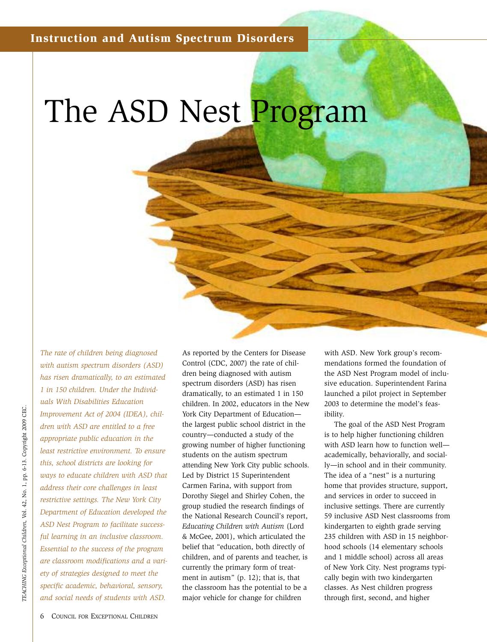# The ASD Nest Program

*The rate of children being diagnosed with autism spectrum disorders (ASD) has risen dramatically, to an estimated 1 in 150 children. Under the Individuals With Disabilities Education Improvement Act of 2004 (IDEA), children with ASD are entitled to a free appropriate public education in the least restrictive environment. To ensure this, school districts are looking for ways to educate children with ASD that address their core challenges in least restrictive settings. The New York City Department of Education developed the ASD Nest Program to facilitate successful learning in an inclusive classroom. Essential to the success of the program are classroom modifications and a variety of strategies designed to meet the specific academic, behavioral, sensory, and social needs of students with ASD.*

As reported by the Centers for Disease Control (CDC, 2007) the rate of children being diagnosed with autism spectrum disorders (ASD) has risen dramatically, to an estimated 1 in 150 children. In 2002, educators in the New York City Department of Education the largest public school district in the country—conducted a study of the growing number of higher functioning students on the autism spectrum attending New York City public schools. Led by District 15 Superintendent Carmen Farina, with support from Dorothy Siegel and Shirley Cohen, the group studied the research findings of the National Research Council's report, *Educating Children with Autism* (Lord & McGee, 2001), which articulated the belief that "education, both directly of children, and of parents and teacher, is currently the primary form of treatment in autism" (p. 12); that is, that the classroom has the potential to be a major vehicle for change for children

with ASD. New York group's recommendations formed the foundation of the ASD Nest Program model of inclusive education. Superintendent Farina launched a pilot project in September 2003 to determine the model's feasibility.

The goal of the ASD Nest Program is to help higher functioning children with ASD learn how to function well academically, behaviorally, and socially—in school and in their community. The idea of a "nest" is a nurturing home that provides structure, support, and services in order to succeed in inclusive settings. There are currently 59 inclusive ASD Nest classrooms from kindergarten to eighth grade serving 235 children with ASD in 15 neighborhood schools (14 elementary schools and 1 middle school) across all areas of New York City. Nest programs typically begin with two kindergarten classes. As Nest children progress through first, second, and higher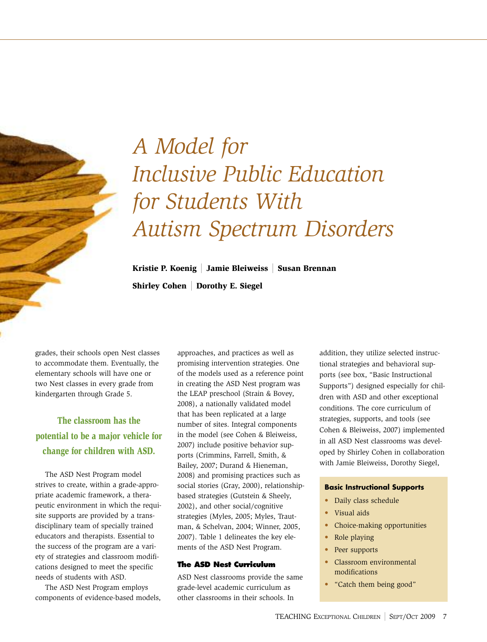# *A Model for Inclusive Public Education for Students With Autism Spectrum Disorders*

**Kristie P. Koenig Jamie Bleiweiss Susan Brennan Shirley Cohen Dorothy E. Siegel**

grades, their schools open Nest classes to accommodate them. Eventually, the elementary schools will have one or two Nest classes in every grade from kindergarten through Grade 5.

### **The classroom has the potential to be a major vehicle for change for children with ASD.**

The ASD Nest Program model strives to create, within a grade-appropriate academic framework, a therapeutic environment in which the requisite supports are provided by a transdisciplinary team of specially trained educators and therapists. Essential to the success of the program are a variety of strategies and classroom modifications designed to meet the specific needs of students with ASD.

The ASD Nest Program employs components of evidence-based models, approaches, and practices as well as promising intervention strategies. One of the models used as a reference point in creating the ASD Nest program was the LEAP preschool (Strain & Bovey, 2008), a nationally validated model that has been replicated at a large number of sites. Integral components in the model (see Cohen & Bleiweiss, 2007) include positive behavior supports (Crimmins, Farrell, Smith, & Bailey, 2007; Durand & Hieneman, 2008) and promising practices such as social stories (Gray, 2000), relationshipbased strategies (Gutstein & Sheely, 2002), and other social/cognitive strategies (Myles, 2005; Myles, Trautman, & Schelvan, 2004; Winner, 2005, 2007). Table 1 delineates the key elements of the ASD Nest Program.

#### **The ASD Nest Curriculum**

ASD Nest classrooms provide the same grade-level academic curriculum as other classrooms in their schools. In

addition, they utilize selected instructional strategies and behavioral supports (see box, "Basic Instructional Supports") designed especially for children with ASD and other exceptional conditions. The core curriculum of strategies, supports, and tools (see Cohen & Bleiweiss, 2007) implemented in all ASD Nest classrooms was developed by Shirley Cohen in collaboration with Jamie Bleiweiss, Dorothy Siegel,

#### **Basic Instructional Supports**

- Daily class schedule
- Visual aids
- Choice-making opportunities
- Role playing
- Peer supports
- Classroom environmental modifications
- "Catch them being good"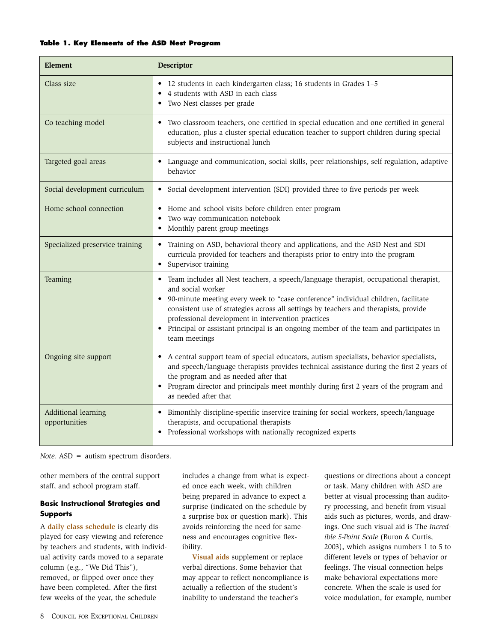#### **Table 1. Key Elements of the ASD Nest Program**

| Element                              | <b>Descriptor</b>                                                                                                                                                                                                                                                                                                                                                                                                                                           |  |
|--------------------------------------|-------------------------------------------------------------------------------------------------------------------------------------------------------------------------------------------------------------------------------------------------------------------------------------------------------------------------------------------------------------------------------------------------------------------------------------------------------------|--|
| Class size                           | 12 students in each kindergarten class; 16 students in Grades 1-5<br>4 students with ASD in each class<br>Two Nest classes per grade                                                                                                                                                                                                                                                                                                                        |  |
| Co-teaching model                    | Two classroom teachers, one certified in special education and one certified in general<br>education, plus a cluster special education teacher to support children during special<br>subjects and instructional lunch                                                                                                                                                                                                                                       |  |
| Targeted goal areas                  | Language and communication, social skills, peer relationships, self-regulation, adaptive<br>behavior                                                                                                                                                                                                                                                                                                                                                        |  |
| Social development curriculum        | Social development intervention (SDI) provided three to five periods per week                                                                                                                                                                                                                                                                                                                                                                               |  |
| Home-school connection               | Home and school visits before children enter program<br>Two-way communication notebook<br>Monthly parent group meetings                                                                                                                                                                                                                                                                                                                                     |  |
| Specialized preservice training      | Training on ASD, behavioral theory and applications, and the ASD Nest and SDI<br>curricula provided for teachers and therapists prior to entry into the program<br>Supervisor training                                                                                                                                                                                                                                                                      |  |
| Teaming                              | • Team includes all Nest teachers, a speech/language therapist, occupational therapist,<br>and social worker<br>90-minute meeting every week to "case conference" individual children, facilitate<br>consistent use of strategies across all settings by teachers and therapists, provide<br>professional development in intervention practices<br>• Principal or assistant principal is an ongoing member of the team and participates in<br>team meetings |  |
| Ongoing site support                 | A central support team of special educators, autism specialists, behavior specialists,<br>and speech/language therapists provides technical assistance during the first 2 years of<br>the program and as needed after that<br>Program director and principals meet monthly during first 2 years of the program and<br>as needed after that                                                                                                                  |  |
| Additional learning<br>opportunities | Bimonthly discipline-specific inservice training for social workers, speech/language<br>therapists, and occupational therapists<br>Professional workshops with nationally recognized experts                                                                                                                                                                                                                                                                |  |

*Note.* ASD = autism spectrum disorders.

other members of the central support staff, and school program staff.

#### **Basic Instructional Strategies and Supports**

A **daily class schedule** is clearly displayed for easy viewing and reference by teachers and students, with individual activity cards moved to a separate column (e.g., "We Did This"), removed, or flipped over once they have been completed. After the first few weeks of the year, the schedule

includes a change from what is expected once each week, with children being prepared in advance to expect a surprise (indicated on the schedule by a surprise box or question mark). This avoids reinforcing the need for sameness and encourages cognitive flexibility.

**Visual aids** supplement or replace verbal directions. Some behavior that may appear to reflect noncompliance is actually a reflection of the student's inability to understand the teacher's

questions or directions about a concept or task. Many children with ASD are better at visual processing than auditory processing, and benefit from visual aids such as pictures, words, and drawings. One such visual aid is The *Incredible 5-Point Scale* (Buron & Curtis, 2003), which assigns numbers 1 to 5 to different levels or types of behavior or feelings. The visual connection helps make behavioral expectations more concrete. When the scale is used for voice modulation, for example, number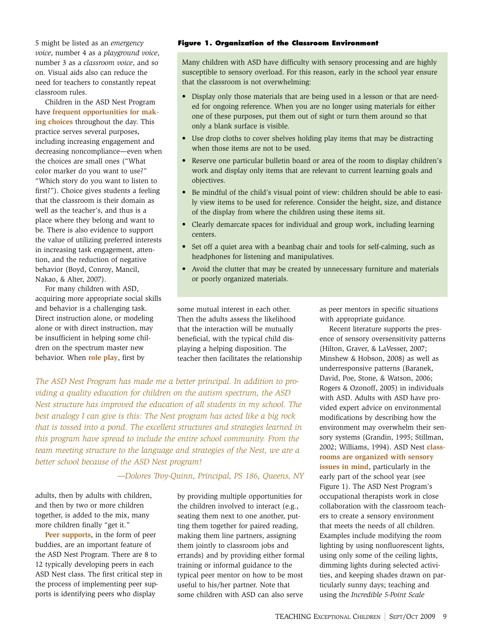5 might be listed as an *emergency voice*, number 4 as a *playground voice*, number 3 as a *classroom voice*, and so on. Visual aids also can reduce the need for teachers to constantly repeat classroom rules.

Children in the ASD Nest Program have **frequent opportunities for making choices** throughout the day. This practice serves several purposes, including increasing engagement and decreasing noncompliance—even when the choices are small ones ("What color marker do you want to use?" "Which story do you want to listen to first?"). Choice gives students a feeling that the classroom is their domain as well as the teacher's, and thus is a place where they belong and want to be. There is also evidence to support the value of utilizing preferred interests in increasing task engagement, attention, and the reduction of negative behavior (Boyd, Conroy, Mancil, Nakao, & Alter, 2007).

For many children with ASD, acquiring more appropriate social skills and behavior is a challenging task. Direct instruction alone, or modeling alone or with direct instruction, may be insufficient in helping some children on the spectrum master new behavior. When **role play**, first by

#### **Figure 1. Organization of the Classroom Environment**

Many children with ASD have difficulty with sensory processing and are highly susceptible to sensory overload. For this reason, early in the school year ensure that the classroom is not overwhelming:

- Display only those materials that are being used in a lesson or that are needed for ongoing reference. When you are no longer using materials for either one of these purposes, put them out of sight or turn them around so that only a blank surface is visible.
- Use drop cloths to cover shelves holding play items that may be distracting when those items are not to be used.
- Reserve one particular bulletin board or area of the room to display children's work and display only items that are relevant to current learning goals and objectives.
- Be mindful of the child's visual point of view: children should be able to easily view items to be used for reference. Consider the height, size, and distance of the display from where the children using these items sit.
- Clearly demarcate spaces for individual and group work, including learning centers.
- Set off a quiet area with a beanbag chair and tools for self-calming, such as headphones for listening and manipulatives.
- Avoid the clutter that may be created by unnecessary furniture and materials or poorly organized materials.

some mutual interest in each other. Then the adults assess the likelihood that the interaction will be mutually beneficial, with the typical child displaying a helping disposition. The teacher then facilitates the relationship

*The ASD Nest Program has made me a better principal. In addition to providing a quality education for children on the autism spectrum, the ASD Nest structure has improved the education of all students in my school. The best analogy I can give is this: The Nest program has acted like a big rock that is tossed into a pond. The excellent structures and strategies learned in this program have spread to include the entire school community. From the team meeting structure to the language and strategies of the Nest, we are a better school because of the ASD Nest program!*

*—Dolores Troy-Quinn, Principal, PS 186, Queens, NY*

adults, then by adults with children, and then by two or more children together, is added to the mix, many more children finally "get it."

**Peer supports**, in the form of peer buddies, are an important feature of the ASD Nest Program. There are 8 to 12 typically developing peers in each ASD Nest class. The first critical step in the process of implementing peer supports is identifying peers who display

by providing multiple opportunities for the children involved to interact (e.g., seating them next to one another, putting them together for paired reading, making them line partners, assigning them jointly to classroom jobs and errands) and by providing either formal training or informal guidance to the typical peer mentor on how to be most useful to his/her partner. Note that some children with ASD can also serve

as peer mentors in specific situations with appropriate guidance.

Recent literature supports the presence of sensory oversensitivity patterns (Hilton, Graver, & LaVesser, 2007; Minshew & Hobson, 2008) as well as underresponsive patterns (Baranek, David, Poe, Stone, & Watson, 2006; Rogers & Ozonoff, 2005) in individuals with ASD. Adults with ASD have provided expert advice on environmental modifications by describing how the environment may overwhelm their sensory systems (Grandin, 1995; Stillman, 2002; Williams, 1994). ASD Nest **classrooms are organized with sensory issues in mind**, particularly in the early part of the school year (see Figure 1). The ASD Nest Program's occupational therapists work in close collaboration with the classroom teachers to create a sensory environment that meets the needs of all children. Examples include modifying the room lighting by using nonfluorescent lights, using only some of the ceiling lights, dimming lights during selected activities, and keeping shades drawn on particularly sunny days; teaching and using the *Incredible 5-Point Scale*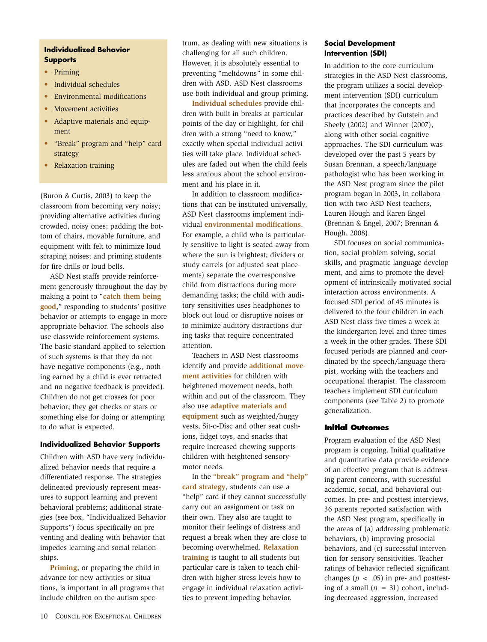#### **Individualized Behavior Supports**

- Priming
- Individual schedules
- Environmental modifications
- Movement activities
- Adaptive materials and equipment
- "Break" program and "help" card strategy
- Relaxation training

(Buron & Curtis, 2003) to keep the classroom from becoming very noisy; providing alternative activities during crowded, noisy ones; padding the bottom of chairs, movable furniture, and equipment with felt to minimize loud scraping noises; and priming students for fire drills or loud bells.

ASD Nest staffs provide reinforcement generously throughout the day by making a point to "**catch them being good**," responding to students' positive behavior or attempts to engage in more appropriate behavior. The schools also use classwide reinforcement systems. The basic standard applied to selection of such systems is that they do not have negative components (e.g., nothing earned by a child is ever retracted and no negative feedback is provided). Children do not get crosses for poor behavior; they get checks or stars or something else for doing or attempting to do what is expected.

#### **Individualized Behavior Supports**

Children with ASD have very individualized behavior needs that require a differentiated response. The strategies delineated previously represent measures to support learning and prevent behavioral problems; additional strategies (see box, "Individualized Behavior Supports") focus specifically on preventing and dealing with behavior that impedes learning and social relationships.

**Priming**, or preparing the child in advance for new activities or situations, is important in all programs that include children on the autism spectrum, as dealing with new situations is challenging for all such children. However, it is absolutely essential to preventing "meltdowns" in some children with ASD. ASD Nest classrooms use both individual and group priming.

**Individual schedules** provide children with built-in breaks at particular points of the day or highlight, for children with a strong "need to know," exactly when special individual activities will take place. Individual schedules are faded out when the child feels less anxious about the school environment and his place in it.

In addition to classroom modifications that can be instituted universally, ASD Nest classrooms implement individual **environmental modifications**. For example, a child who is particularly sensitive to light is seated away from where the sun is brightest; dividers or study carrels (or adjusted seat placements) separate the overresponsive child from distractions during more demanding tasks; the child with auditory sensitivities uses headphones to block out loud or disruptive noises or to minimize auditory distractions during tasks that require concentrated attention.

Teachers in ASD Nest classrooms identify and provide **additional movement activities** for children with heightened movement needs, both within and out of the classroom. They also use **adaptive materials and equipment** such as weighted/huggy vests, Sit-o-Disc and other seat cushions, fidget toys, and snacks that require increased chewing supports children with heightened sensorymotor needs.

In the **"break" program and "help" card strategy**, students can use a "help" card if they cannot successfully carry out an assignment or task on their own. They also are taught to monitor their feelings of distress and request a break when they are close to becoming overwhelmed. **Relaxation training** is taught to all students but particular care is taken to teach children with higher stress levels how to engage in individual relaxation activities to prevent impeding behavior.

#### **Social Development Intervention (SDI)**

In addition to the core curriculum strategies in the ASD Nest classrooms, the program utilizes a social development intervention (SDI) curriculum that incorporates the concepts and practices described by Gutstein and Sheely (2002) and Winner (2007), along with other social-cognitive approaches. The SDI curriculum was developed over the past 5 years by Susan Brennan, a speech/language pathologist who has been working in the ASD Nest program since the pilot program began in 2003, in collaboration with two ASD Nest teachers, Lauren Hough and Karen Engel (Brennan & Engel, 2007; Brennan & Hough, 2008).

SDI focuses on social communication, social problem solving, social skills, and pragmatic language development, and aims to promote the development of intrinsically motivated social interaction across environments. A focused SDI period of 45 minutes is delivered to the four children in each ASD Nest class five times a week at the kindergarten level and three times a week in the other grades. These SDI focused periods are planned and coordinated by the speech/language therapist, working with the teachers and occupational therapist. The classroom teachers implement SDI curriculum components (see Table 2) to promote generalization.

#### **Initial Outcomes**

Program evaluation of the ASD Nest program is ongoing. Initial qualitative and quantitative data provide evidence of an effective program that is addressing parent concerns, with successful academic, social, and behavioral outcomes. In pre- and posttest interviews, 36 parents reported satisfaction with the ASD Nest program, specifically in the areas of (a) addressing problematic behaviors, (b) improving prosocial behaviors, and (c) successful intervention for sensory sensitivities. Teacher ratings of behavior reflected significant changes ( $p < .05$ ) in pre- and posttesting of a small  $(n = 31)$  cohort, including decreased aggression, increased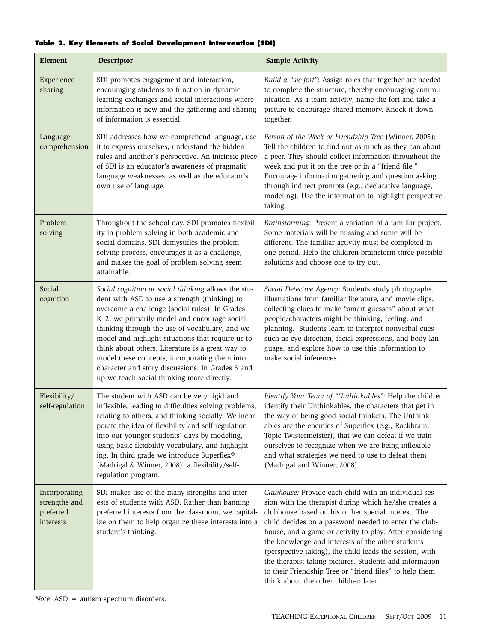### **Table 2. Key Elements of Social Development Intervention (SDI)**

| Element                                                  | <b>Descriptor</b>                                                                                                                                                                                                                                                                                                                                                                                                                                                                                                    | <b>Sample Activity</b>                                                                                                                                                                                                                                                                                                                                                                                                                                                                                                                                                    |
|----------------------------------------------------------|----------------------------------------------------------------------------------------------------------------------------------------------------------------------------------------------------------------------------------------------------------------------------------------------------------------------------------------------------------------------------------------------------------------------------------------------------------------------------------------------------------------------|---------------------------------------------------------------------------------------------------------------------------------------------------------------------------------------------------------------------------------------------------------------------------------------------------------------------------------------------------------------------------------------------------------------------------------------------------------------------------------------------------------------------------------------------------------------------------|
| Experience<br>sharing                                    | SDI promotes engagement and interaction,<br>encouraging students to function in dynamic<br>learning exchanges and social interactions where<br>information is new and the gathering and sharing<br>of information is essential.                                                                                                                                                                                                                                                                                      | Build a "we-fort": Assign roles that together are needed<br>to complete the structure, thereby encouraging commu-<br>nication. As a team activity, name the fort and take a<br>picture to encourage shared memory. Knock it down<br>together.                                                                                                                                                                                                                                                                                                                             |
| Language<br>comprehension                                | SDI addresses how we comprehend language, use<br>it to express ourselves, understand the hidden<br>rules and another's perspective. An intrinsic piece<br>of SDI is an educator's awareness of pragmatic<br>language weaknesses, as well as the educator's<br>own use of language.                                                                                                                                                                                                                                   | Person of the Week or Friendship Tree (Winner, 2005):<br>Tell the children to find out as much as they can about<br>a peer. They should collect information throughout the<br>week and put it on the tree or in a "friend file."<br>Encourage information gathering and question asking<br>through indirect prompts (e.g., declarative language,<br>modeling). Use the information to highlight perspective<br>taking.                                                                                                                                                    |
| Problem<br>solving                                       | Throughout the school day, SDI promotes flexibil-<br>ity in problem solving in both academic and<br>social domains. SDI demystifies the problem-<br>solving process, encourages it as a challenge,<br>and makes the goal of problem solving seem<br>attainable.                                                                                                                                                                                                                                                      | Brainstorming: Present a variation of a familiar project.<br>Some materials will be missing and some will be<br>different. The familiar activity must be completed in<br>one period. Help the children brainstorm three possible<br>solutions and choose one to try out.                                                                                                                                                                                                                                                                                                  |
| Social<br>cognition                                      | Social cognition or social thinking allows the stu-<br>dent with ASD to use a strength (thinking) to<br>overcome a challenge (social rules). In Grades<br>K-2, we primarily model and encourage social<br>thinking through the use of vocabulary, and we<br>model and highlight situations that require us to<br>think about others. Literature is a great way to<br>model these concepts, incorporating them into<br>character and story discussions. In Grades 3 and<br>up we teach social thinking more directly. | Social Detective Agency: Students study photographs,<br>illustrations from familiar literature, and movie clips,<br>collecting clues to make "smart guesses" about what<br>people/characters might be thinking, feeling, and<br>planning. Students learn to interpret nonverbal cues<br>such as eye direction, facial expressions, and body lan-<br>guage, and explore how to use this information to<br>make social inferences.                                                                                                                                          |
| Flexibility/<br>self-regulation                          | The student with ASD can be very rigid and<br>inflexible, leading to difficulties solving problems,<br>relating to others, and thinking socially. We incor-<br>porate the idea of flexibility and self-regulation<br>into our younger students' days by modeling,<br>using basic flexibility vocabulary, and highlight-<br>ing. In third grade we introduce Superflex®<br>(Madrigal & Winner, 2008), a flexibility/self-<br>regulation program.                                                                      | Identify Your Team of "Unthinkables": Help the children<br>identify their Unthinkables, the characters that get in<br>the way of being good social thinkers. The Unthink-<br>ables are the enemies of Superflex (e.g., Rockbrain,<br>Topic Twistermeister), that we can defeat if we train<br>ourselves to recognize when we are being inflexible<br>and what strategies we need to use to defeat them<br>(Madrigal and Winner, 2008).                                                                                                                                    |
| Incorporating<br>strengths and<br>preferred<br>interests | SDI makes use of the many strengths and inter-<br>ests of students with ASD. Rather than banning<br>preferred interests from the classroom, we capital-<br>ize on them to help organize these interests into a<br>student's thinking.                                                                                                                                                                                                                                                                                | Clubhouse: Provide each child with an individual ses-<br>sion with the therapist during which he/she creates a<br>clubhouse based on his or her special interest. The<br>child decides on a password needed to enter the club-<br>house, and a game or activity to play. After considering<br>the knowledge and interests of the other students<br>(perspective taking), the child leads the session, with<br>the therapist taking pictures. Students add information<br>to their Friendship Tree or "friend files" to help them<br>think about the other children later. |

*Note.* ASD = autism spectrum disorders.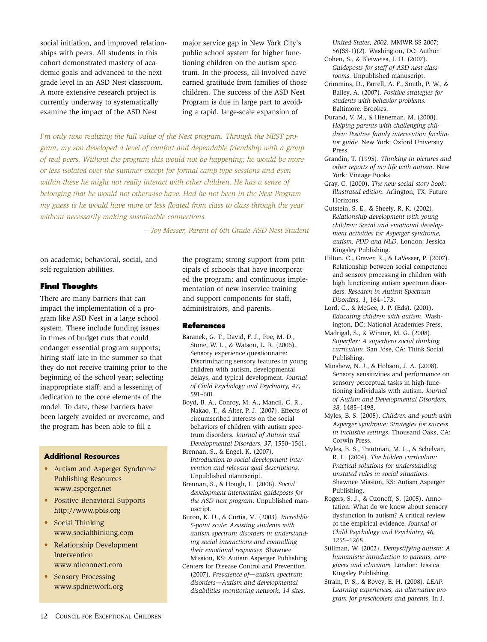social initiation, and improved relationships with peers. All students in this cohort demonstrated mastery of academic goals and advanced to the next grade level in an ASD Nest classroom. A more extensive research project is currently underway to systematically examine the impact of the ASD Nest

major service gap in New York City's public school system for higher functioning children on the autism spectrum. In the process, all involved have earned gratitude from families of those children. The success of the ASD Nest Program is due in large part to avoiding a rapid, large-scale expansion of

*I'm only now realizing the full value of the Nest program. Through the NEST program, my son developed a level of comfort and dependable friendship with a group of real peers. Without the program this would not be happening; he would be more or less isolated over the summer except for formal camp-type sessions and even within these he might not really interact with other children. He has a sense of belonging that he would not otherwise have. Had he not been in the Nest Program my guess is he would have more or less floated from class to class through the year without necessarily making sustainable connections.*

*—Joy Messer, Parent of 6th Grade ASD Nest Student*

on academic, behavioral, social, and self-regulation abilities.

#### **Final Thoughts**

There are many barriers that can impact the implementation of a program like ASD Nest in a large school system. These include funding issues in times of budget cuts that could endanger essential program supports; hiring staff late in the summer so that they do not receive training prior to the beginning of the school year; selecting inappropriate staff; and a lessening of dedication to the core elements of the model. To date, these barriers have been largely avoided or overcome, and the program has been able to fill a

#### **Additional Resources**

- Autism and Asperger Syndrome Publishing Resources www.asperger.net
- Positive Behavioral Supports http://www.pbis.org
- Social Thinking www.socialthinking.com
- Relationship Development Intervention www.rdiconnect.com
- Sensory Processing www.spdnetwork.org

the program; strong support from principals of schools that have incorporated the program; and continuous implementation of new inservice training and support components for staff, administrators, and parents.

#### **References**

- Baranek, G. T., David, F. J., Poe, M. D., Stone, W. L., & Watson, L. R. (2006). Sensory experience questionnaire: Discriminating sensory features in young children with autism, developmental delays, and typical development. *Journal of Child Psychology and Psychiatry, 47*, 591–601.
- Boyd, B. A., Conroy, M. A., Mancil, G. R., Nakao, T., & Alter, P. J. (2007). Effects of circumscribed interests on the social behaviors of children with autism spectrum disorders. *Journal of Autism and Developmental Disorders, 37*, 1550–1561.
- Brennan, S., & Engel, K. (2007). *Introduction to social development intervention and relevant goal descriptions*. Unpublished manuscript.
- Brennan, S., & Hough, L. (2008). *Social development intervention guideposts for the ASD nest program*. Unpublished manuscript.
- Buron, K. D., & Curtis, M. (2003). *Incredible 5-point scale: Assisting students with autism spectrum disorders in understanding social interactions and controlling their emotional responses*. Shawnee Mission, KS: Autism Asperger Publishing.
- Centers for Disease Control and Prevention. (2007). *Prevalence of—autism spectrum disorders—Autism and developmental disabilities monitoring network, 14 sites,*

*United States, 2002*. MMWR SS 2007; 56(SS-1)(2). Washington, DC: Author.

- Cohen, S., & Bleiweiss, J. D. (2007). *Guideposts for staff of ASD nest classrooms.* Unpublished manuscript.
- Crimmins, D., Farrell, A. F., Smith, P. W., & Bailey, A. (2007). *Positive strategies for students with behavior problems.* Baltimore: Brookes.
- Durand, V. M., & Hieneman, M. (2008). *Helping parents with challenging children: Positive family intervention facilitator guide.* New York: Oxford University Press.
- Grandin, T. (1995). *Thinking in pictures and other reports of my life with autism*. New York: Vintage Books.
- Gray, C. (2000). *The new social story book: Illustrated edition.* Arlington, TX: Future Horizons.
- Gutstein, S. E., & Sheely, R. K. (2002). *Relationship development with young children: Social and emotional development activities for Asperger syndrome, autism, PDD and NLD.* London: Jessica Kingsley Publishing.
- Hilton, C., Graver, K., & LaVesser, P. (2007). Relationship between social competence and sensory processing in children with high functioning autism spectrum disorders. *Research in Autism Spectrum Disorders, 1*, 164–173.
- Lord, C., & McGee, J. P. (Eds). (2001). *Educating children with autism*. Washington, DC: National Academies Press.
- Madrigal, S., & Winner, M. G. (2008). *Superflex: A superhero social thinking curriculum*. San Jose, CA: Think Social Publishing.
- Minshew, N. J., & Hobson, J. A. (2008). Sensory sensitivities and performance on sensory perceptual tasks in high-functioning individuals with autism. *Journal of Autism and Developmental Disorders, 38,* 1485–1498.
- Myles, B. S. (2005). *Children and youth with Asperger syndrome: Strategies for success in inclusive settings.* Thousand Oaks, CA: Corwin Press.
- Myles, B. S., Trautman, M. L., & Schelvan, R. L. (2004). *The hidden curriculum: Practical solutions for understanding unstated rules in social situations.* Shawnee Mission, KS: Autism Asperger Publishing.
- Rogers, S. J., & Ozonoff, S. (2005). Annotation: What do we know about sensory dysfunction in autism? A critical review of the empirical evidence. *Journal of Child Psychology and Psychiatry, 46,* 1255–1268.
- Stillman, W. (2002). *Demystifying autism: A humanistic introduction to parents, caregivers and educators*. London: Jessica Kingsley Publishing.
- Strain, P. S., & Bovey, E. H. (2008). *LEAP: Learning experiences, an alternative program for preschoolers and parents*. In J.